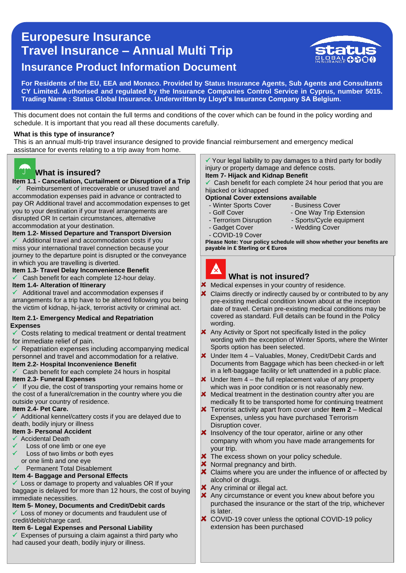# 0 **Travel Insurance – Annual Multi Trip Europesure Insurance Insurance Product Information Document**



**For Residents of the EU, EEA and Monaco. Provided by Status Insurance Agents, Sub Agents and Consultants CY Limited. Authorised and regulated by the Insurance Companies Control Service in Cyprus, number 5015. Trading Name : Status Global Insurance. Underwritten by Lloyd's Insurance Company SA Belgium.** 

This document does not contain the full terms and conditions of the cover which can be found in the policy wording and schedule. It is important that you read all these documents carefully.

#### **What is this type of insurance?**

This is an annual multi-trip travel insurance designed to provide financial reimbursement and emergency medical assistance for events relating to a trip away from home.



### **What is insured?**

 **Item 1.1 - Cancellation, Curtailment or Disruption of a Trip**  Reimbursement of irrecoverable or unused travel and

 you to your destination if your travel arrangements are accommodation expenses paid in advance or contracted to pay OR Additional travel and accommodation expenses to get disrupted OR In certain circumstances, *a*lternative accommodation at your destination.

**Item 1.2- Missed Departure and Transport Diversion**

 Additional travel and accommodation costs if you miss your international travel connection because your journey to the departure point is disrupted or the conveyance in which you are travelling is diverted.

**Item 1.3- Travel Delay Inconvenience Benefit** 

Cash benefit for each complete 12-hour delay.

### **Item 1.4- Alteration of Itinerary**

 $\checkmark$  Additional travel and accommodation expenses if arrangements for a trip have to be altered following you being the victim of kidnap, hi-jack, terrorist activity or criminal act.

#### **Item 2.1- Emergency Medical and Repatriation Expenses**

 Costs relating to medical treatment or dental treatment for immediate relief of pain.

Repatriation expenses including accompanying medical personnel and travel and accommodation for a relative. **Item 2.2- Hospital Inconvenience Benefit**

Cash benefit for each complete 24 hours in hospital

#### **Item 2.3- Funeral Expenses**

 $\checkmark$  If you die, the cost of transporting your remains home or the cost of a funeral/cremation in the country where you die outside your country of residence.

#### **Item 2.4- Pet Care.**

 Additional kennel/cattery costs if you are delayed due to death, bodily injury or illness

#### **Item 3- Personal Accident**

- Accidental Death
- Loss of one limb or one eye
- Loss of two limbs *or* both eyes or one limb and one eye

### Permanent Total Disablement

### **Item 4- Baggage and Personal Effects**

Loss or damage to property and valuables OR If your baggage is delayed for more than 12 hours, the cost of buying immediate necessities.

**Item 5- Money, Documents and Credit/Debit cards** Loss of money or documents and fraudulent use of

credit/debit/charge card.

#### **Item 6- Legal Expenses and Personal Liability**

 $\checkmark$  Expenses of pursuing a claim against a third party who had caused your death, bodily injury or illness.

injury or property damage and defence costs.

#### Cash benefit for each complete 24 hour period that you are hijacked or kidnapped

**Optional Cover extensions available**

- Winter Sports Cover Business Cover<br>- Golf Cover One Way Trip F
- 
- - -
- One Way Trip Extension - Terrorism Disruption - Sports/Cycle equipment<br>- Gadget Cover - Wedding Cover
	- Wedding Cover
- COVID-19 Cover

**Please Note: Your policy schedule will show whether your benefits are payable in £ Sterling or € Euros**



### **What is not insured?**

Medical expenses in your country of residence.

- $\overline{\mathbf{x}}$ Claims directly or indirectly caused by or contributed to by any pre-existing medical condition known about at the inception date of travel. Certain pre-existing medical conditions may be covered as standard. Full details can be found in the Policy wording.
- **X** Any Activity or Sport not specifically listed in the policy wording with the exception of Winter Sports, where the Winter Sports option has been selected.
- $\times$  Under Item 4 Valuables, Money, Credit/Debit Cards and Documents from Baggage which has been checked-in or left in a left-baggage facility or left unattended in a public place.
- $\boldsymbol{\times}$  Under Item 4 the full replacement value of any property which was in poor condition or is not reasonably new.
- **X** Medical treatment in the destination country after you are medically fit to be transported home for continuing treatment
- Terrorist activity apart from cover under **Item 2** Medical Expenses, unless you have purchased Terrorism Disruption cover.
- $\boldsymbol{\times}$  Insolvency of the tour operator, airline or any other company with whom you have made arrangements for your trip.
- X The excess shown on your policy schedule.
- **X** Normal pregnancy and birth.
- X Claims where you are under the influence of or affected by alcohol or drugs.
- **X** Any criminal or illegal act.
- **X** Any circumstance or event you knew about before you purchased the insurance or the start of the trip, whichever is later.
- **★ COVID-19 cover unless the optional COVID-19 policy** extension has been purchased

 $\checkmark$  Your legal liability to pay damages to a third party for bodily **Item 7- Hijack and Kidnap Benefit**